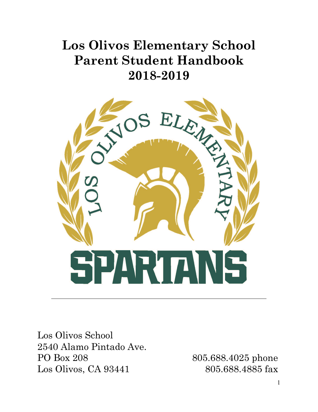# **Los Olivos Elementary School Parent Student Handbook 2018-2019**



Los Olivos School 2540 Alamo Pintado Ave. PO Box 208 805.688.4025 phone Los Olivos, CA 93441 805.688.4885 fax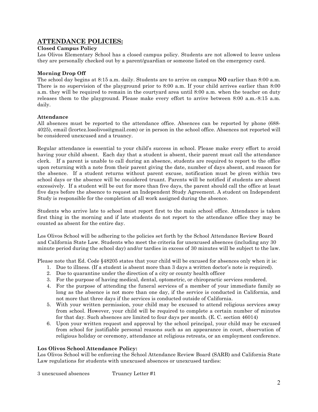## **ATTENDANCE POLICIES:**

## **Closed Campus Policy**

Los Olivos Elementary School has a closed campus policy. Students are not allowed to leave unless they are personally checked out by a parent/guardian or someone listed on the emergency card.

## **Morning Drop Off**

The school day begins at 8:15 a.m. daily. Students are to arrive on campus **NO** earlier than 8:00 a.m. There is no supervision of the playground prior to 8:00 a.m. If your child arrives earlier than 8:00 a.m. they will be required to remain in the courtyard area until 8:00 a.m. when the teacher on duty releases them to the playground. Please make every effort to arrive between 8:00 a.m.-8:15 a.m. daily.

## **Attendance**

All absences must be reported to the attendance office. Absences can be reported by phone (688- 4025), email (lcortez.losolivos@gmail.com) or in person in the school office. Absences not reported will be considered unexcused and a truancy.

Regular attendance is essential to your child's success in school. Please make every effort to avoid having your child absent. Each day that a student is absent, their parent must call the attendance clerk. If a parent is unable to call during an absence, students are required to report to the office upon returning with a note from their parent giving the date, number of days absent, and reason for the absence. If a student returns without parent excuse, notification must be given within two school days or the absence will be considered truant. Parents will be notified if students are absent excessively. If a student will be out for more than five days, the parent should call the office at least five days before the absence to request an Independent Study Agreement. A student on Independent Study is responsible for the completion of all work assigned during the absence.

Students who arrive late to school must report first to the main school office. Attendance is taken first thing in the morning and if late students do not report to the attendance office they may be counted as absent for the entire day.

Los Olivos School will be adhering to the policies set forth by the School Attendance Review Board and California State Law. Students who meet the criteria for unexcused absences (including any 30 minute period during the school day) and/or tardies in excess of 30 minutes will be subject to the law.

Please note that Ed. Code §48205 states that your child will be excused for absences only when it is:

- 1. Due to illness. (If a student is absent more than 3 days a written doctor's note is required).
- 2. Due to quarantine under the direction of a city or county health officer
- 3. For the purpose of having medical, dental, optometric, or chiropractic services rendered.
- 4. For the purpose of attending the funeral services of a member of your immediate family so long as the absence is not more than one day, if the service is conducted in California, and not more that three days if the services is conducted outside of California.
- 5. With your written permission, your child may be excused to attend religious services away from school. However, your child will be required to complete a certain number of minutes for that day. Such absences are limited to four days per month. (E. C. section 46014)
- 6. Upon your written request and approval by the school principal, your child may be excused from school for justifiable personal reasons such as an appearance in court, observation of religious holiday or ceremony, attendance at religious retreats, or an employment conference.

#### **Los Olivos School Attendance Policy:**

Los Olivos School will be enforcing the School Attendance Review Board (SARB) and California State Law regulations for students with unexcused absences or unexcused tardies: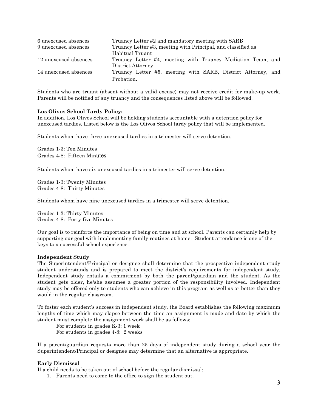| 6 unexcused absences  | Truancy Letter #2 and mandatory meeting with SARB            |  |
|-----------------------|--------------------------------------------------------------|--|
| 9 unexcused absences  | Truancy Letter #3, meeting with Principal, and classified as |  |
|                       | Habitual Truant                                              |  |
| 12 unexcused absences | Truancy Letter #4, meeting with Truancy Mediation Team, and  |  |
|                       | District Attorney                                            |  |
| 14 unexcused absences | Truancy Letter #5, meeting with SARB, District Attorney, and |  |
|                       | Probation.                                                   |  |

Students who are truant (absent without a valid excuse) may not receive credit for make-up work. Parents will be notified of any truancy and the consequences listed above will be followed.

#### **Los Olivos School Tardy Policy:**

In addition, Los Olivos School will be holding students accountable with a detention policy for unexcused tardies. Listed below is the Los Olivos School tardy policy that will be implemented.

Students whom have three unexcused tardies in a trimester will serve detention.

Grades 1-3: Ten Minutes Grades 4-8: Fifteen Minutes

Students whom have six unexcused tardies in a trimester will serve detention.

Grades 1-3: Twenty Minutes Grades 4-8: Thirty Minutes

Students whom have nine unexcused tardies in a trimester will serve detention.

Grades 1-3: Thirty Minutes Grades 4-8: Forty-five Minutes

Our goal is to reinforce the importance of being on time and at school. Parents can certainly help by supporting our goal with implementing family routines at home. Student attendance is one of the keys to a successful school experience.

#### **Independent Study**

The Superintendent/Principal or designee shall determine that the prospective independent study student understands and is prepared to meet the district's requirements for independent study. Independent study entails a commitment by both the parent/guardian and the student. As the student gets older, he/she assumes a greater portion of the responsibility involved. Independent study may be offered only to students who can achieve in this program as well as or better than they would in the regular classroom.

To foster each student's success in independent study, the Board establishes the following maximum lengths of time which may elapse between the time an assignment is made and date by which the student must complete the assignment work shall be as follows:

For students in grades K-3: 1 week For students in grades 4-8: 2 weeks

If a parent/guardian requests more than 25 days of independent study during a school year the Superintendent/Principal or designee may determine that an alternative is appropriate.

#### **Early Dismissal**

If a child needs to be taken out of school before the regular dismissal:

1. Parents need to come to the office to sign the student out.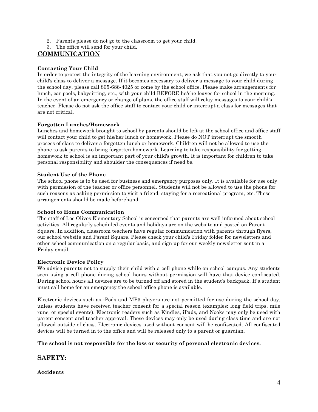- 2. Parents please do not go to the classroom to get your child.
- 3. The office will send for your child.

# **COMMUNICATION**

## **Contacting Your Child**

In order to protect the integrity of the learning environment, we ask that you not go directly to your child's class to deliver a message. If it becomes necessary to deliver a message to your child during the school day, please call 805-688-4025 or come by the school office. Please make arrangements for lunch, car pools, babysitting, etc., with your child BEFORE he/she leaves for school in the morning. In the event of an emergency or change of plans, the office staff will relay messages to your child's teacher. Please do not ask the office staff to contact your child or interrupt a class for messages that are not critical.

#### **Forgotten Lunches/Homework**

Lunches and homework brought to school by parents should be left at the school office and office staff will contact your child to get his/her lunch or homework. Please do NOT interrupt the smooth process of class to deliver a forgotten lunch or homework. Children will not be allowed to use the phone to ask parents to bring forgotten homework. Learning to take responsibility for getting homework to school is an important part of your child's growth. It is important for children to take personal responsibility and shoulder the consequences if need be.

#### **Student Use of the Phone**

The school phone is to be used for business and emergency purposes only. It is available for use only with permission of the teacher or office personnel. Students will not be allowed to use the phone for such reasons as asking permission to visit a friend, staying for a recreational program, etc. These arrangements should be made beforehand.

## **School to Home Communication**

The staff of Los Olivos Elementary School is concerned that parents are well informed about school activities. All regularly scheduled events and holidays are on the website and posted on Parent Square. In addition, classroom teachers have regular communication with parents through flyers, our school website and Parent Square. Please check your child's Friday folder for newsletters and other school communication on a regular basis, and sign up for our weekly newsletter sent in a Friday email.

#### **Electronic Device Policy**

We advise parents not to supply their child with a cell phone while on school campus. Any students seen using a cell phone during school hours without permission will have that device confiscated. During school hours all devices are to be turned off and stored in the student's backpack. If a student must call home for an emergency the school office phone is available.

Electronic devices such as iPods and MP3 players are not permitted for use during the school day, unless students have received teacher consent for a special reason (examples: long field trips, mile runs, or special events). Electronic readers such as Kindles, iPads, and Nooks may only be used with parent consent and teacher approval. These devices may only be used during class time and are not allowed outside of class. Electronic devices used without consent will be confiscated. All confiscated devices will be turned in to the office and will be released only to a parent or guardian.

#### **The school is not responsible for the loss or security of personal electronic devices.**

## **SAFETY:**

#### **Accidents**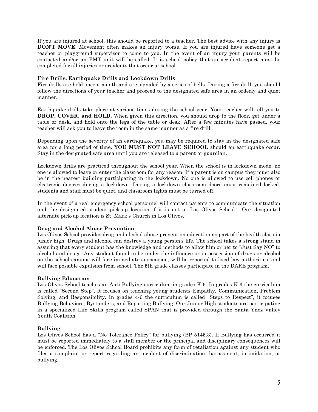If you are injured at school, this should be reported to a teacher. The best advice with any injury is **DON'T MOVE**. Movement often makes an injury worse. If you are injured have someone get a teacher or playground supervisor to come to you. In the event of an injury your parents will be contacted and/or an EMT unit will be called. It is school policy that an accident report must be completed for all injuries or accidents that occur at school.

## **Fire Drills, Earthquake Drills and Lockdown Drills**

Fire drills are held once a month and are signaled by a series of bells. During a fire drill, you should follow the directions of your teacher and proceed to the designated safe area in an orderly and quiet manner.

Earthquake drills take place at various times during the school year. Your teacher will tell you to **DROP, COVER, and HOLD**. When given this direction, you should drop to the floor, get under a table or desk, and hold onto the legs of the table or desk. After a few minutes have passed, your teacher will ask you to leave the room in the same manner as a fire drill.

Depending upon the severity of an earthquake, you may be required to stay in the designated safe area for a long period of time. **YOU MUST NOT LEAVE SCHOOL** should an earthquake occur. Stay in the designated safe area until you are released to a parent or guardian.

Lockdown drills are practiced throughout the school year. When the school is in lockdown mode, no one is allowed to leave or enter the classroom for any reason. If a parent is on campus they must also be in the nearest building participating in the lockdown. No one is allowed to use cell phones or electronic devices during a lockdown. During a lockdown classroom doors must remained locked, students and staff must be quiet, and classroom lights must be turned off.

In the event of a real emergency school personnel will contact parents to communicate the situation and the designated student pick-up location if it is not at Los Olivos School. Our designated alternate pick-up location is St. Mark's Church in Los Olivos.

#### **Drug and Alcohol Abuse Prevention**

Los Olivos School provides drug and alcohol abuse prevention education as part of the health class in junior high. Drugs and alcohol can destroy a young person's life. The school takes a strong stand in assuring that every student has the knowledge and methods to allow him or her to "Just Say NO" to alcohol and drugs. Any student found to be under the influence or in possession of drugs or alcohol on the school campus will face immediate suspension, will be reported to local law authorities, and will face possible expulsion from school. The 5th grade classes participate in the DARE program.

## **Bullying Education**

Los Olivos School teaches an Anti-Bullying curriculum in grades K-6. In grades K-3 the curriculum is called "Second Step", it focuses on teaching young students Empathy, Communication, Problem Solving, and Responsibility. In grades 4-6 the curriculum is called "Steps to Respect", it focuses Bullying Behaviors, Bystanders, and Reporting Bullying. Our Junior High students are participating in a specialized Life Skills program called SPAN that is provided through the Santa Ynez Valley Youth Coalition.

#### **Bullying**

Los Olivos School has a "No Tolerance Policy" for bullying (BP 5145.3). If Bullying has occurred it must be reported immediately to a staff member or the principal and disciplinary consequences will be enforced. The Los Olivos School Board prohibits any form of retaliation against any student who files a complaint or report regarding an incident of discrimination, harassment, intimidation, or bullying.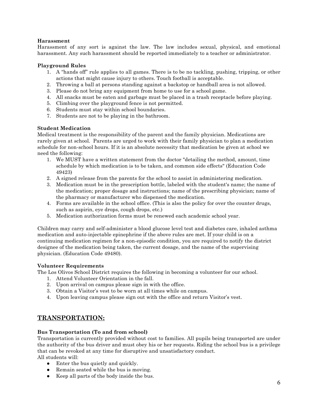## **Harassment**

Harassment of any sort is against the law. The law includes sexual, physical, and emotional harassment. Any such harassment should be reported immediately to a teacher or administrator.

## **Playground Rules**

- 1. A "hands off" rule applies to all games. There is to be no tackling, pushing, tripping, or other actions that might cause injury to others. Touch football is acceptable.
- 2. Throwing a ball at persons standing against a backstop or handball area is not allowed.
- 3. Please do not bring any equipment from home to use for a school game.
- 4. All snacks must be eaten and garbage must be placed in a trash receptacle before playing.
- 5. Climbing over the playground fence is not permitted.
- 6. Students must stay within school boundaries.
- 7. Students are not to be playing in the bathroom.

## **Student Medication**

Medical treatment is the responsibility of the parent and the family physician. Medications are rarely given at school. Parents are urged to work with their family physician to plan a medication schedule for non-school hours. If it is an absolute necessity that medication be given at school we need the following:

- 1. We MUST have a written statement from the doctor "detailing the method, amount, time schedule by which medication is to be taken, and common side effects" (Education Code 49423)
- 2. A signed release from the parents for the school to assist in administering medication.
- 3. Medication must be in the prescription bottle, labeled with the student's name; the name of the medication; proper dosage and instructions; name of the prescribing physician; name of the pharmacy or manufacturer who dispensed the medication.
- 4. Forms are available in the school office. (This is also the policy for over the counter drugs, such as aspirin, eye drops, cough drops, etc.)
- 5. Medication authorization forms must be renewed each academic school year.

Children may carry and self-administer a blood glucose level test and diabetes care, inhaled asthma medication and auto-injectable epinephrine if the above rules are met. If your child is on a continuing medication regimen for a non-episodic condition, you are required to notify the district designee of the medication being taken, the current dosage, and the name of the supervising physician. (Education Code 49480).

## **Volunteer Requirements**

The Los Olivos School District requires the following in becoming a volunteer for our school.

- 1. Attend Volunteer Orientation in the fall.
- 2. Upon arrival on campus please sign in with the office.
- 3. Obtain a Visitor's vest to be worn at all times while on campus.
- 4. Upon leaving campus please sign out with the office and return Visitor's vest.

# **TRANSPORTATION:**

## **Bus Transportation (To and from school)**

Transportation is currently provided without cost to families. All pupils being transported are under the authority of the bus driver and must obey his or her requests. Riding the school bus is a privilege that can be revoked at any time for disruptive and unsatisfactory conduct.

All students will:

- Enter the bus quietly and quickly.
- Remain seated while the bus is moving.
- Keep all parts of the body inside the bus.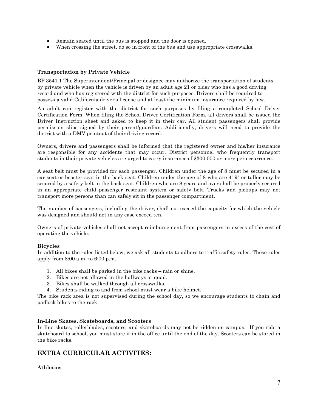- Remain seated until the bus is stopped and the door is opened.
- When crossing the street, do so in front of the bus and use appropriate crosswalks.

#### **Transportation by Private Vehicle**

BP 3541.1 The Superintendent/Principal or designee may authorize the transportation of students by private vehicle when the vehicle is driven by an adult age 21 or older who has a good driving record and who has registered with the district for such purposes. Drivers shall be required to possess a valid California driver's license and at least the minimum insurance required by law.

An adult can register with the district for such purposes by filing a completed School Driver Certification Form. When filing the School Driver Certification Form, all drivers shall be issued the Driver Instruction sheet and asked to keep it in their car. All student passengers shall provide permission slips signed by their parent/guardian. Additionally, drivers will need to provide the district with a DMV printout of their driving record.

Owners, drivers and passengers shall be informed that the registered owner and his/her insurance are responsible for any accidents that may occur. District personnel who frequently transport students in their private vehicles are urged to carry insurance of \$300,000 or more per occurrence.

A seat belt must be provided for each passenger. Children under the age of 8 must be secured in a car seat or booster seat in the back seat. Children under the age of 8 who are 4' 9" or taller may be secured by a safety belt in the back seat. Children who are 8 years and over shall be properly secured in an appropriate child passenger restraint system or safety belt. Trucks and pickups may not transport more persons than can safely sit in the passenger compartment.

The number of passengers, including the driver, shall not exceed the capacity for which the vehicle was designed and should not in any case exceed ten.

Owners of private vehicles shall not accept reimbursement from passengers in excess of the cost of operating the vehicle.

#### **Bicycles**

In addition to the rules listed below, we ask all students to adhere to traffic safety rules. These rules apply from 8:00 a.m. to 6:00 p.m.

- 1. All bikes shall be parked in the bike racks rain or shine.
- 2. Bikes are not allowed in the hallways or quad.
- 3. Bikes shall be walked through all crosswalks.
- 4. Students riding to and from school must wear a bike helmet.

The bike rack area is not supervised during the school day, so we encourage students to chain and padlock bikes to the rack.

#### **In-Line Skates, Skateboards, and Scooters**

In-line skates, rollerblades, scooters, and skateboards may not be ridden on campus. If you ride a skateboard to school, you must store it in the office until the end of the day. Scooters can be stored in the bike racks.

# **EXTRA CURRICULAR ACTIVITES:**

## **Athletics**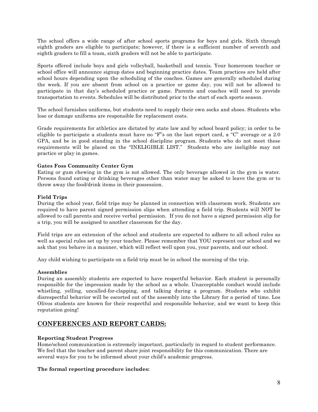The school offers a wide range of after school sports programs for boys and girls. Sixth through eighth graders are eligible to participate; however, if there is a sufficient number of seventh and eighth graders to fill a team, sixth graders will not be able to participate.

Sports offered include boys and girls volleyball, basketball and tennis. Your homeroom teacher or school office will announce signup dates and beginning practice dates. Team practices are held after school hours depending upon the scheduling of the coaches. Games are generally scheduled during the week. If you are absent from school on a practice or game day, you will not be allowed to participate in that day's scheduled practice or game. Parents and coaches will need to provide transportation to events. Schedules will be distributed prior to the start of each sports season.

The school furnishes uniforms, but students need to supply their own socks and shoes. Students who lose or damage uniforms are responsible for replacement costs.

Grade requirements for athletics are dictated by state law and by school board policy; in order to be eligible to participate a students must have no "F"s on the last report card, a "C" average or a 2.0 GPA, and be in good standing in the school discipline program. Students who do not meet these requirements will be placed on the "INELIGIBLE LIST." Students who are ineligible may not practice or play in games.

#### **Gates Foss Community Center Gym**

Eating or gum chewing in the gym is not allowed. The only beverage allowed in the gym is water. Persons found eating or drinking beverages other than water may be asked to leave the gym or to throw away the food/drink items in their possession.

#### **Field Trips**

During the school year, field trips may be planned in connection with classroom work. Students are required to have parent signed permission slips when attending a field trip. Students will NOT be allowed to call parents and receive verbal permission. If you do not have a signed permission slip for a trip, you will be assigned to another classroom for the day.

Field trips are an extension of the school and students are expected to adhere to all school rules as well as special rules set up by your teacher. Please remember that YOU represent our school and we ask that you behave in a manner, which will reflect well upon you, your parents, and our school.

Any child wishing to participate on a field trip must be in school the morning of the trip.

#### **Assemblies**

During an assembly students are expected to have respectful behavior. Each student is personally responsible for the impression made by the school as a whole. Unacceptable conduct would include whistling, yelling, uncalled-for-clapping, and talking during a program. Students who exhibit disrespectful behavior will be escorted out of the assembly into the Library for a period of time. Los Olivos students are known for their respectful and responsible behavior, and we want to keep this reputation going!

## **CONFERENCES AND REPORT CARDS:**

#### **Reporting Student Progress**

Home/school communication is extremely important, particularly in regard to student performance. We feel that the teacher and parent share joint responsibility for this communication. There are several ways for you to be informed about your child's academic progress.

#### **The formal reporting procedure includes:**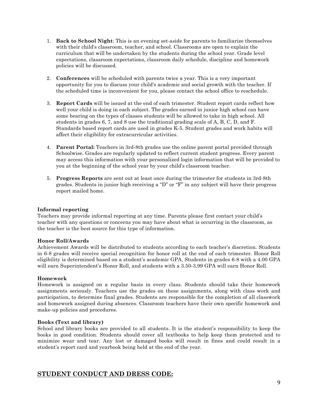- 1. **Back to School Night**: This is an evening set-aside for parents to familiarize themselves with their child's classroom, teacher, and school. Classrooms are open to explain the curriculum that will be undertaken by the students during the school year. Grade level expectations, classroom expectations, classroom daily schedule, discipline and homework policies will be discussed.
- 2. **Conferences** will be scheduled with parents twice a year. This is a very important opportunity for you to discuss your child's academic and social growth with the teacher. If the scheduled time is inconvenient for you, please contact the school office to reschedule.
- 3. **Report Cards** will be issued at the end of each trimester. Student report cards reflect how well your child is doing in each subject. The grades earned in junior high school can have some bearing on the types of classes students will be allowed to take in high school. All students in grades 6, 7, and 8 use the traditional grading scale of A, B, C, D, and F. Standards based report cards are used in grades K-5. Student grades and work habits will affect their eligibility for extracurricular activities.
- 4. **Parent Portal:** Teachers in 3rd-8th grades use the online parent portal provided through Schoolwise. Grades are regularly updated to reflect current student progress. Every parent may access this information with your personalized login information that will be provided to you at the beginning of the school year by your child's classroom teacher.
- 5. **Progress Reports** are sent out at least once during the trimester for students in 3rd-8th grades. Students in junior high receiving a "D" or "F" in any subject will have their progress report mailed home.

## **Informal reporting**

Teachers may provide informal reporting at any time. Parents please first contact your child's teacher with any questions or concerns you may have about what is occurring in the classroom, as the teacher is the best source for this type of information.

#### **Honor Roll/Awards**

Achievement Awards will be distributed to students according to each teacher's discretion. Students in 6-8 grades will receive special recognition for honor roll at the end of each trimester. Honor Roll eligibility is determined based on a student's academic GPA. Students in grades 6-8 with a 4.00 GPA will earn Superintendent's Honor Roll, and students with a 3.50-3.99 GPA will earn Honor Roll.

## **Homework**

Homework is assigned on a regular basis in every class. Students should take their homework assignments seriously. Teachers use the grades on these assignments, along with class work and participation, to determine final grades. Students are responsible for the completion of all classwork and homework assigned during absences. Classroom teachers have their own specific homework and make-up policies and procedures.

#### **Books (Text and library)**

School and library books are provided to all students. It is the student's responsibility to keep the books in good condition. Students should cover all textbooks to help keep them protected and to minimize wear and tear. Any lost or damaged books will result in fines and could result in a student's report card and yearbook being held at the end of the year.

## **STUDENT CONDUCT AND DRESS CODE:**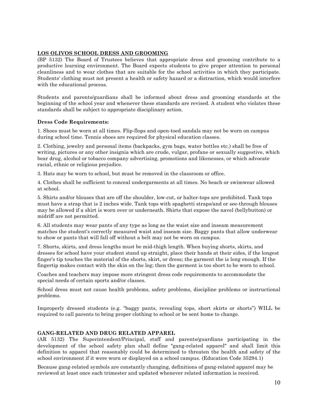## **LOS OLIVOS SCHOOL DRESS AND GROOMING**

(BP 5132) The Board of Trustees believes that appropriate dress and grooming contribute to a productive learning environment. The Board expects students to give proper attention to personal cleanliness and to wear clothes that are suitable for the school activities in which they participate. Students' clothing must not present a health or safety hazard or a distraction, which would interfere with the educational process.

Students and parents/guardians shall be informed about dress and grooming standards at the beginning of the school year and whenever these standards are revised. A student who violates these standards shall be subject to appropriate disciplinary action.

#### **Dress Code Requirements:**

1. Shoes must be worn at all times. Flip-flops and open-toed sandals may not be worn on campus during school time. Tennis shoes are required for physical education classes.

2. Clothing, jewelry and personal items (backpacks, gym bags, water bottles etc.) shall be free of writing, pictures or any other insignia which are crude, vulgar, profane or sexually suggestive, which bear drug, alcohol or tobacco company advertising, promotions and likenesses, or which advocate racial, ethnic or religious prejudice.

3. Hats may be worn to school, but must be removed in the classroom or office.

4. Clothes shall be sufficient to conceal undergarments at all times. No beach or swimwear allowed at school.

5. Shirts and/or blouses that are off the shoulder, low-cut, or halter-tops are prohibited. Tank tops must have a strap that is 2 inches wide. Tank tops with spaghetti straps/and or see-through blouses may be allowed if a shirt is worn over or underneath. Shirts that expose the navel (bellybutton) or midriff are not permitted.

6. All students may wear pants of any type as long as the waist size and inseam measurement matches the student's correctly measured waist and inseam size. Baggy pants that allow underwear to show or pants that will fall off without a belt may not be worn on campus.

7. Shorts, skirts, and dress lengths must be mid-thigh length. When buying shorts, skirts, and dresses for school have your student stand up straight, place their hands at their sides, if the longest finger's tip touches the material of the shorts, skirt, or dress; the garment the is long enough. If the fingertip makes contact with the skin on the leg; then the garment is too short to be worn to school.

Coaches and teachers may impose more stringent dress code requirements to accommodate the special needs of certain sports and/or classes.

School dress must not cause health problems, safety problems, discipline problems or instructional problems.

Improperly dressed students (e.g. "baggy pants, revealing tops, short skirts or shorts") WILL be required to call parents to bring proper clothing to school or be sent home to change.

#### **GANG-RELATED AND DRUG RELATED APPAREL**

(AR 5132) The Superintendent/Principal, staff and parents/guardians participating in the development of the school safety plan shall define "gang-related apparel" and shall limit this definition to apparel that reasonably could be determined to threaten the health and safety of the school environment if it were worn or displayed on a school campus. (Education Code 35294.1)

Because gang-related symbols are constantly changing, definitions of gang-related apparel may be reviewed at least once each trimester and updated whenever related information is received.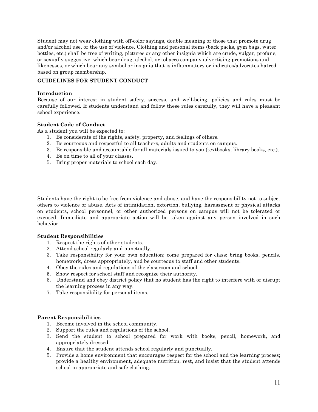Student may not wear clothing with off-color sayings, double meaning or those that promote drug and/or alcohol use, or the use of violence. Clothing and personal items (back packs, gym bags, water bottles, etc.) shall be free of writing, pictures or any other insignia which are crude, vulgar, profane, or sexually suggestive, which bear drug, alcohol, or tobacco company advertising promotions and likenesses, or which bear any symbol or insignia that is inflammatory or indicates/advocates hatred based on group membership.

#### **GUIDELINES FOR STUDENT CONDUCT**

#### **Introduction**

Because of our interest in student safety, success, and well-being, policies and rules must be carefully followed. If students understand and follow these rules carefully, they will have a pleasant school experience.

#### **Student Code of Conduct**

As a student you will be expected to:

- 1. Be considerate of the rights, safety, property, and feelings of others.
- 2. Be courteous and respectful to all teachers, adults and students on campus.
- 3. Be responsible and accountable for all materials issued to you (textbooks, library books, etc.).
- 4. Be on time to all of your classes.
- 5. Bring proper materials to school each day.

Students have the right to be free from violence and abuse, and have the responsibility not to subject others to violence or abuse. Acts of intimidation, extortion, bullying, harassment or physical attacks on students, school personnel, or other authorized persons on campus will not be tolerated or excused. Immediate and appropriate action will be taken against any person involved in such behavior.

#### **Student Responsibilities**

- 1. Respect the rights of other students.
- 2. Attend school regularly and punctually.
- 3. Take responsibility for your own education; come prepared for class; bring books, pencils, homework, dress appropriately, and be courteous to staff and other students.
- 4. Obey the rules and regulations of the classroom and school.
- 5. Show respect for school staff and recognize their authority.
- 6. Understand and obey district policy that no student has the right to interfere with or disrupt the learning process in any way.
- 7. Take responsibility for personal items.

#### **Parent Responsibilities**

- 1. Become involved in the school community.
- 2. Support the rules and regulations of the school.
- 3. Send the student to school prepared for work with books, pencil, homework, and appropriately dressed.
- 4. Ensure that the student attends school regularly and punctually.
- 5. Provide a home environment that encourages respect for the school and the learning process; provide a healthy environment, adequate nutrition, rest, and insist that the student attends school in appropriate and safe clothing.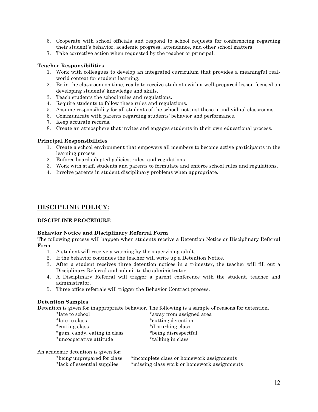- 6. Cooperate with school officials and respond to school requests for conferencing regarding their student's behavior, academic progress, attendance, and other school matters.
- 7. Take corrective action when requested by the teacher or principal.

## **Teacher Responsibilities**

- 1. Work with colleagues to develop an integrated curriculum that provides a meaningful realworld context for student learning.
- 2. Be in the classroom on time, ready to receive students with a well-prepared lesson focused on developing students' knowledge and skills.
- 3. Teach students the school rules and regulations.
- 4. Require students to follow these rules and regulations.
- 5. Assume responsibility for all students of the school, not just those in individual classrooms.
- 6. Communicate with parents regarding students' behavior and performance.
- 7. Keep accurate records.
- 8. Create an atmosphere that invites and engages students in their own educational process.

#### **Principal Responsibilities**

- 1. Create a school environment that empowers all members to become active participants in the learning process.
- 2. Enforce board adopted policies, rules, and regulations.
- 3. Work with staff, students and parents to formulate and enforce school rules and regulations.
- 4. Involve parents in student disciplinary problems when appropriate.

# **DISCIPLINE POLICY:**

## **DISCIPLINE PROCEDURE**

#### **Behavior Notice and Disciplinary Referral Form**

The following process will happen when students receive a Detention Notice or Disciplinary Referral Form.

- 1. A student will receive a warning by the supervising adult.
- 2. If the behavior continues the teacher will write up a Detention Notice.
- 3. After a student receives three detention notices in a trimester, the teacher will fill out a Disciplinary Referral and submit to the administrator.
- 4. A Disciplinary Referral will trigger a parent conference with the student, teacher and administrator.
- 5. Three office referrals will trigger the Behavior Contract process.

#### **Detention Samples**

Detention is given for inappropriate behavior. The following is a sample of reasons for detention.

| *late to school              | *away from assigned area |
|------------------------------|--------------------------|
| *late to class               | *cutting detention       |
| *cutting class               | *disturbing class        |
| *gum, candy, eating in class | *being disrespectful     |
| *uncooperative attitude      | *talking in class        |

An academic detention is given for:

\*being unprepared for class \*incomplete class or homework assignments \*lack of essential supplies \*missing class work or homework assignments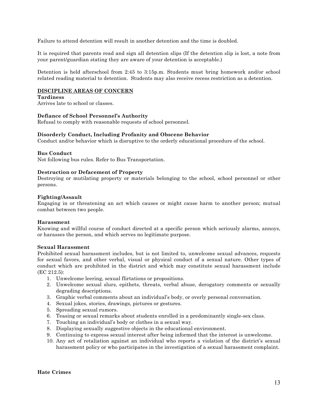Failure to attend detention will result in another detention and the time is doubled.

It is required that parents read and sign all detention slips (If the detention slip is lost, a note from your parent/guardian stating they are aware of your detention is acceptable.)

Detention is held afterschool from 2:45 to 3:15p.m. Students must bring homework and/or school related reading material to detention. Students may also receive recess restriction as a detention.

#### **DISCIPLINE AREAS OF CONCERN**

#### **Tardiness**

Arrives late to school or classes.

#### **Defiance of School Personnel's Authority**

Refusal to comply with reasonable requests of school personnel.

#### **Disorderly Conduct, Including Profanity and Obscene Behavior**

Conduct and/or behavior which is disruptive to the orderly educational procedure of the school.

#### **Bus Conduct**

Not following bus rules. Refer to Bus Transportation.

#### **Destruction or Defacement of Property**

Destroying or mutilating property or materials belonging to the school, school personnel or other persons.

#### **Fighting/Assault**

Engaging in or threatening an act which causes or might cause harm to another person; mutual combat between two people.

#### **Harassment**

Knowing and willful course of conduct directed at a specific person which seriously alarms, annoys, or harasses the person, and which serves no legitimate purpose.

#### **Sexual Harassment**

Prohibited sexual harassment includes, but is not limited to, unwelcome sexual advances, requests for sexual favors, and other verbal, visual or physical conduct of a sexual nature. Other types of conduct which are prohibited in the district and which may constitute sexual harassment include (EC 212.5):

- 1. Unwelcome leering, sexual flirtations or propositions.
- 2. Unwelcome sexual slurs, epithets, threats, verbal abuse, derogatory comments or sexually degrading descriptions.
- 3. Graphic verbal comments about an individual's body, or overly personal conversation.
- 4. Sexual jokes, stories, drawings, pictures or gestures.
- 5. Spreading sexual rumors.
- 6. Teasing or sexual remarks about students enrolled in a predominantly single-sex class.
- 7. Touching an individual's body or clothes in a sexual way.
- 8. Displaying sexually suggestive objects in the educational environment.
- 9. Continuing to express sexual interest after being informed that the interest is unwelcome.
- 10. Any act of retaliation against an individual who reports a violation of the district's sexual harassment policy or who participates in the investigation of a sexual harassment complaint.